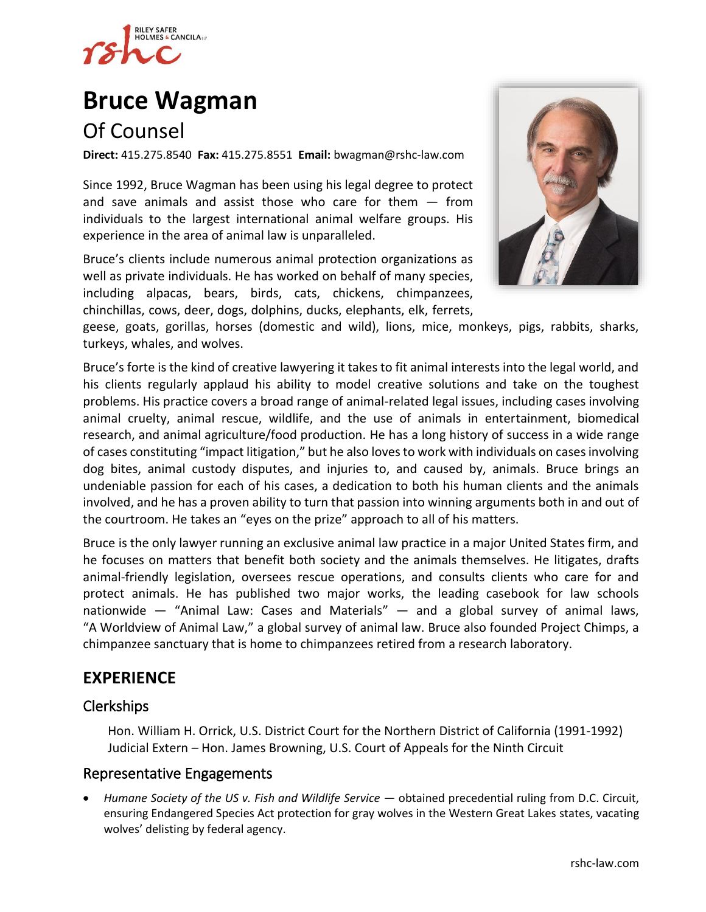

# **[Bruce Wagman](https://www.rshc-law.com/attorneys/attorney/bruce-wagman)**

## Of Counsel

**Direct:** 415.275.8540 **Fax:** 415.275.8551 **Email:** bwagman@rshc-law.com

Since 1992, Bruce Wagman has been using his legal degree to protect and save animals and assist those who care for them  $-$  from individuals to the largest international animal welfare groups. His experience in the area of animal law is unparalleled.

Bruce's clients include numerous animal protection organizations as well as private individuals. He has worked on behalf of many species, including alpacas, bears, birds, cats, chickens, chimpanzees, chinchillas, cows, deer, dogs, dolphins, ducks, elephants, elk, ferrets,



geese, goats, gorillas, horses (domestic and wild), lions, mice, monkeys, pigs, rabbits, sharks, turkeys, whales, and wolves.

Bruce's forte is the kind of creative lawyering it takes to fit animal interests into the legal world, and his clients regularly applaud his ability to model creative solutions and take on the toughest problems. His practice covers a broad range of animal-related legal issues, including cases involving animal cruelty, animal rescue, wildlife, and the use of animals in entertainment, biomedical research, and animal agriculture/food production. He has a long history of success in a wide range of cases constituting "impact litigation," but he also loves to work with individuals on cases involving dog bites, animal custody disputes, and injuries to, and caused by, animals. Bruce brings an undeniable passion for each of his cases, a dedication to both his human clients and the animals involved, and he has a proven ability to turn that passion into winning arguments both in and out of the courtroom. He takes an "eyes on the prize" approach to all of his matters.

Bruce is the only lawyer running an exclusive animal law practice in a major United States firm, and he focuses on matters that benefit both society and the animals themselves. He litigates, drafts animal-friendly legislation, oversees rescue operations, and consults clients who care for and protect animals. He has published two major works, the leading casebook for law schools nationwide — "Animal Law: Cases and Materials" — and a global survey of animal laws, "A Worldview of Animal Law," a global survey of animal law. Bruce also founded Project Chimps, a chimpanzee sanctuary that is home to chimpanzees retired from a research laboratory.

## **EXPERIENCE**

#### Clerkships

Hon. William H. Orrick, U.S. District Court for the Northern District of California (1991-1992) Judicial Extern – Hon. James Browning, U.S. Court of Appeals for the Ninth Circuit

#### Representative Engagements

• *Humane Society of the US v. Fish and Wildlife Service —* obtained precedential ruling from D.C. Circuit, ensuring Endangered Species Act protection for gray wolves in the Western Great Lakes states, vacating wolves' delisting by federal agency.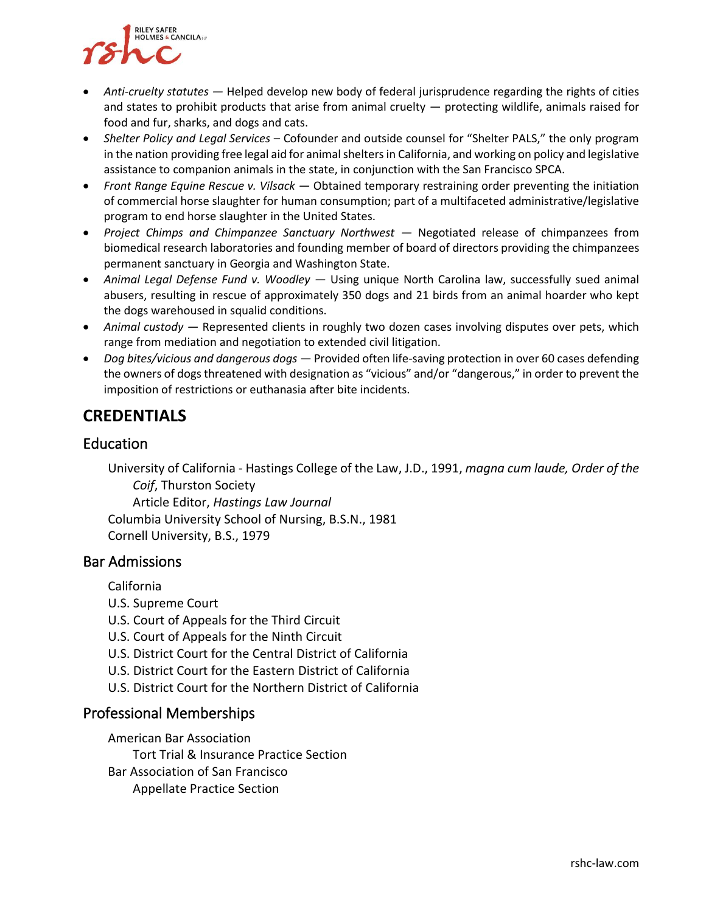

- *Anti-cruelty statutes —* Helped develop new body of federal jurisprudence regarding the rights of cities and states to prohibit products that arise from animal cruelty — protecting wildlife, animals raised for food and fur, sharks, and dogs and cats.
- *Shelter Policy and Legal Services*  Cofounder and outside counsel for "Shelter PALS," the only program in the nation providing free legal aid for animal shelters in California, and working on policy and legislative assistance to companion animals in the state, in conjunction with the San Francisco SPCA.
- *Front Range Equine Rescue v. Vilsack —* Obtained temporary restraining order preventing the initiation of commercial horse slaughter for human consumption; part of a multifaceted administrative/legislative program to end horse slaughter in the United States.
- *Project Chimps and Chimpanzee Sanctuary Northwest*  $-$  Negotiated release of chimpanzees from biomedical research laboratories and founding member of board of directors providing the chimpanzees permanent sanctuary in Georgia and Washington State.
- *Animal Legal Defense Fund v. Woodley —* Using unique North Carolina law, successfully sued animal abusers, resulting in rescue of approximately 350 dogs and 21 birds from an animal hoarder who kept the dogs warehoused in squalid conditions.
- *Animal custody* Represented clients in roughly two dozen cases involving disputes over pets, which range from mediation and negotiation to extended civil litigation.
- *Dog bites/vicious and dangerous dogs —* Provided often life-saving protection in over 60 cases defending the owners of dogs threatened with designation as "vicious" and/or "dangerous," in order to prevent the imposition of restrictions or euthanasia after bite incidents.

## **CREDENTIALS**

#### **Education**

University of California - Hastings College of the Law, J.D., 1991, *magna cum laude, Order of the Coif*, Thurston Society Article Editor, *Hastings Law Journal* Columbia University School of Nursing, B.S.N., 1981 Cornell University, B.S., 1979

#### Bar Admissions

California

- U.S. Supreme Court
- U.S. Court of Appeals for the Third Circuit
- U.S. Court of Appeals for the Ninth Circuit
- U.S. District Court for the Central District of California
- U.S. District Court for the Eastern District of California
- U.S. District Court for the Northern District of California

#### Professional Memberships

American Bar Association

Tort Trial & Insurance Practice Section

Bar Association of San Francisco Appellate Practice Section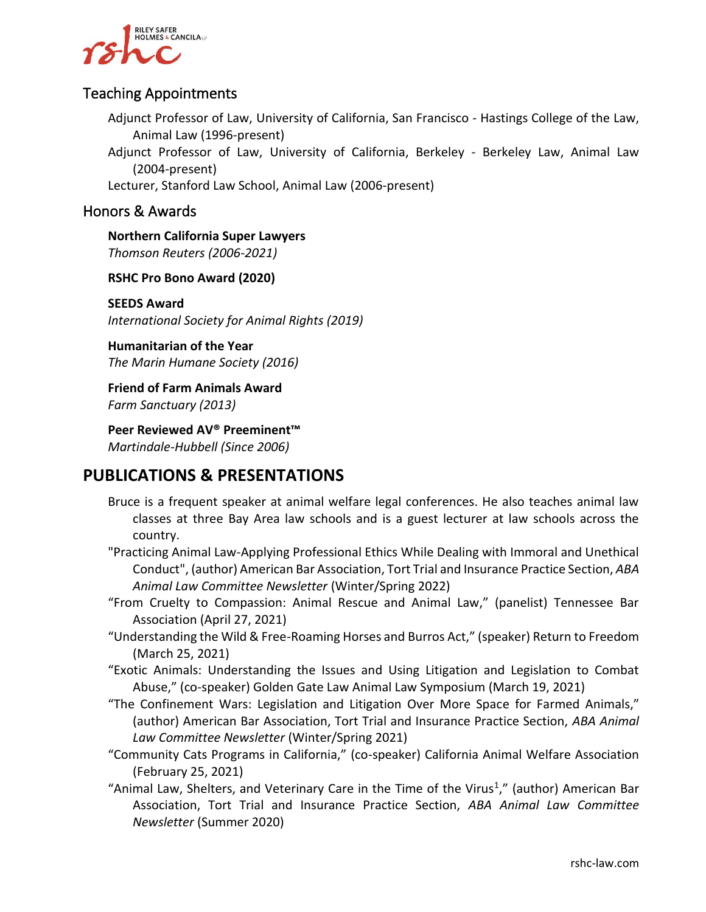

#### Teaching Appointments

Adjunct Professor of Law, University of California, San Francisco - Hastings College of the Law, Animal Law (1996-present)

Adjunct Professor of Law, University of California, Berkeley - Berkeley Law, Animal Law (2004-present)

Lecturer, Stanford Law School, Animal Law (2006-present)

#### Honors & Awards

**Northern California Super Lawyers** *Thomson Reuters (2006-2021)*

**RSHC Pro Bono Award (2020)**

**SEEDS Award** *International Society for Animal Rights (2019)*

**Humanitarian of the Year** *The Marin Humane Society (2016)*

**Friend of Farm Animals Award** *Farm Sanctuary (2013)*

**Peer Reviewed AV® Preeminent™** *Martindale-Hubbell (Since 2006)*

### **PUBLICATIONS & PRESENTATIONS**

- Bruce is a frequent speaker at animal welfare legal conferences. He also teaches animal law classes at three Bay Area law schools and is a guest lecturer at law schools across the country.
- "Practicing Animal Law-Applying Professional Ethics While Dealing with Immoral and Unethical Conduct", (author) American Bar Association, Tort Trial and Insurance Practice Section, *ABA Animal Law Committee Newsletter* (Winter/Spring 2022)
- "From Cruelty to Compassion: Animal Rescue and Animal Law," (panelist) Tennessee Bar Association (April 27, 2021)
- "Understanding the Wild & Free-Roaming Horses and Burros Act," (speaker) Return to Freedom (March 25, 2021)
- "Exotic Animals: Understanding the Issues and Using Litigation and Legislation to Combat Abuse," (co-speaker) Golden Gate Law Animal Law Symposium (March 19, 2021)
- "The Confinement Wars: Legislation and Litigation Over More Space for Farmed Animals," (author) American Bar Association, Tort Trial and Insurance Practice Section, *ABA Animal Law Committee Newsletter* (Winter/Spring 2021)
- "Community Cats Programs in California," (co-speaker) California Animal Welfare Association (February 25, 2021)
- "Animal Law, Shelters, and Veterinary Care in the Time of the Virus<sup>1</sup>," (author) American Bar Association, Tort Trial and Insurance Practice Section, *ABA Animal Law Committee Newsletter* (Summer 2020)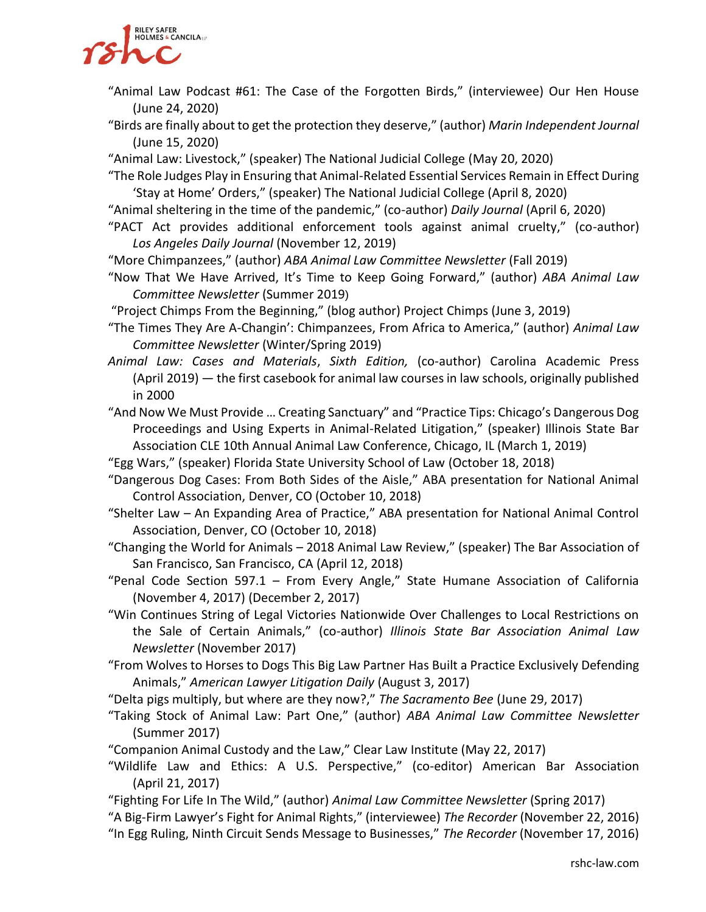

- "Animal Law Podcast #61: The Case of the Forgotten Birds," (interviewee) Our Hen House (June 24, 2020)
- "Birds are finally about to get the protection they deserve," (author) *Marin Independent Journal* (June 15, 2020)
- "Animal Law: Livestock," (speaker) The National Judicial College (May 20, 2020)
- "The Role Judges Play in Ensuring that Animal-Related Essential Services Remain in Effect During 'Stay at Home' Orders," (speaker) The National Judicial College (April 8, 2020)
- "Animal sheltering in the time of the pandemic," (co-author) *Daily Journal* (April 6, 2020)
- "PACT Act provides additional enforcement tools against animal cruelty," (co-author) *Los Angeles Daily Journal* (November 12, 2019)
- "More Chimpanzees," (author) *ABA Animal Law Committee Newsletter* (Fall 2019)
- "Now That We Have Arrived, It's Time to Keep Going Forward," (author) *ABA Animal Law Committee Newsletter* (Summer 2019)
- "Project Chimps From the Beginning," (blog author) Project Chimps (June 3, 2019)
- "The Times They Are A-Changin': Chimpanzees, From Africa to America," (author) *Animal Law Committee Newsletter* (Winter/Spring 2019)
- *Animal Law: Cases and Materials*, *Sixth Edition,* (co-author) Carolina Academic Press (April 2019) — the first casebook for animal law courses in law schools, originally published in 2000
- "And Now We Must Provide … Creating Sanctuary" and "Practice Tips: Chicago's Dangerous Dog Proceedings and Using Experts in Animal-Related Litigation," (speaker) Illinois State Bar Association CLE 10th Annual Animal Law Conference, Chicago, IL (March 1, 2019)
- "Egg Wars," (speaker) Florida State University School of Law (October 18, 2018)
- "Dangerous Dog Cases: From Both Sides of the Aisle," ABA presentation for National Animal Control Association, Denver, CO (October 10, 2018)
- "Shelter Law An Expanding Area of Practice," ABA presentation for National Animal Control Association, Denver, CO (October 10, 2018)
- "Changing the World for Animals 2018 Animal Law Review," (speaker) The Bar Association of San Francisco, San Francisco, CA (April 12, 2018)
- "Penal Code Section 597.1 From Every Angle," State Humane Association of California (November 4, 2017) (December 2, 2017)
- "Win Continues String of Legal Victories Nationwide Over Challenges to Local Restrictions on the Sale of Certain Animals," (co-author) *Illinois State Bar Association Animal Law Newsletter* (November 2017)
- "From Wolves to Horses to Dogs This Big Law Partner Has Built a Practice Exclusively Defending Animals," *American Lawyer Litigation Daily* (August 3, 2017)
- "Delta pigs multiply, but where are they now?," *The Sacramento Bee* (June 29, 2017)
- "Taking Stock of Animal Law: Part One," (author) *ABA Animal Law Committee Newsletter* (Summer 2017)
- "Companion Animal Custody and the Law," Clear Law Institute (May 22, 2017)
- "Wildlife Law and Ethics: A U.S. Perspective," (co-editor) American Bar Association (April 21, 2017)
- "Fighting For Life In The Wild," (author) *Animal Law Committee Newsletter* (Spring 2017)

"A Big-Firm Lawyer's Fight for Animal Rights," (interviewee) *The Recorder* (November 22, 2016)

"In Egg Ruling, Ninth Circuit Sends Message to Businesses," *The Recorder* (November 17, 2016)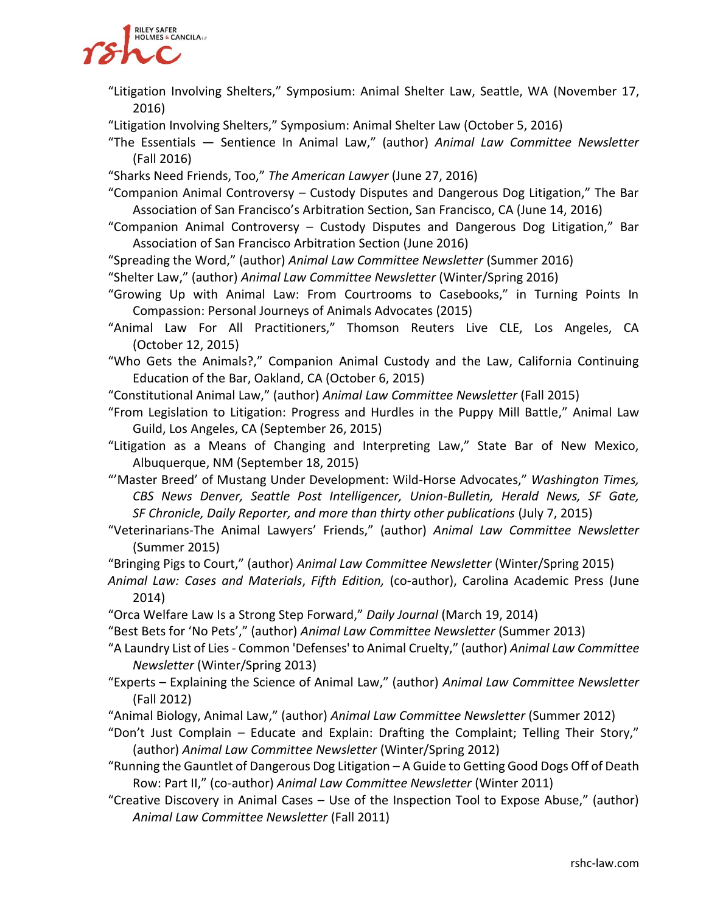

- "Litigation Involving Shelters," Symposium: Animal Shelter Law, Seattle, WA (November 17, 2016)
- "Litigation Involving Shelters," Symposium: Animal Shelter Law (October 5, 2016)
- "The Essentials Sentience In Animal Law," (author) *Animal Law Committee Newsletter* (Fall 2016)
- "Sharks Need Friends, Too," *The American Lawyer* (June 27, 2016)
- "Companion Animal Controversy Custody Disputes and Dangerous Dog Litigation," The Bar Association of San Francisco's Arbitration Section, San Francisco, CA (June 14, 2016)
- "Companion Animal Controversy Custody Disputes and Dangerous Dog Litigation," Bar Association of San Francisco Arbitration Section (June 2016)
- "Spreading the Word," (author) *Animal Law Committee Newsletter* (Summer 2016)
- "Shelter Law," (author) *Animal Law Committee Newsletter* (Winter/Spring 2016)
- "Growing Up with Animal Law: From Courtrooms to Casebooks," in Turning Points In Compassion: Personal Journeys of Animals Advocates (2015)
- "Animal Law For All Practitioners," Thomson Reuters Live CLE, Los Angeles, CA (October 12, 2015)
- "Who Gets the Animals?," Companion Animal Custody and the Law, California Continuing Education of the Bar, Oakland, CA (October 6, 2015)
- "Constitutional Animal Law," (author) *Animal Law Committee Newsletter* (Fall 2015)
- "From Legislation to Litigation: Progress and Hurdles in the Puppy Mill Battle," Animal Law Guild, Los Angeles, CA (September 26, 2015)
- "Litigation as a Means of Changing and Interpreting Law," State Bar of New Mexico, Albuquerque, NM (September 18, 2015)
- "'Master Breed' of Mustang Under Development: Wild-Horse Advocates," *Washington Times, CBS News Denver, Seattle Post Intelligencer, Union-Bulletin, Herald News, SF Gate, SF Chronicle, Daily Reporter, and more than thirty other publications* (July 7, 2015)
- "Veterinarians-The Animal Lawyers' Friends," (author) *Animal Law Committee Newsletter* (Summer 2015)
- "Bringing Pigs to Court," (author) *Animal Law Committee Newsletter* (Winter/Spring 2015)
- *Animal Law: Cases and Materials*, *Fifth Edition,* (co-author), Carolina Academic Press (June 2014)
- "Orca Welfare Law Is a Strong Step Forward," *Daily Journal* (March 19, 2014)
- "Best Bets for 'No Pets'," (author) *Animal Law Committee Newsletter* (Summer 2013)
- "A Laundry List of Lies Common 'Defenses' to Animal Cruelty," (author) *Animal Law Committee Newsletter* (Winter/Spring 2013)
- "Experts Explaining the Science of Animal Law," (author) *Animal Law Committee Newsletter* (Fall 2012)
- "Animal Biology, Animal Law," (author) *Animal Law Committee Newsletter* (Summer 2012)
- "Don't Just Complain Educate and Explain: Drafting the Complaint; Telling Their Story," (author) *Animal Law Committee Newsletter* (Winter/Spring 2012)
- "Running the Gauntlet of Dangerous Dog Litigation A Guide to Getting Good Dogs Off of Death Row: Part II," (co-author) *Animal Law Committee Newsletter* (Winter 2011)
- "Creative Discovery in Animal Cases Use of the Inspection Tool to Expose Abuse," (author) *Animal Law Committee Newsletter* (Fall 2011)